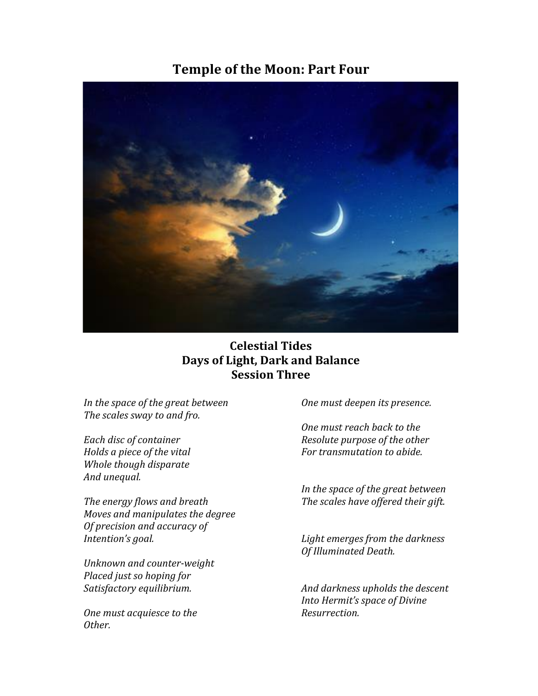# **Temple of the Moon: Part Four**



# **Celestial Tides Days of Light, Dark and Balance Session Three**

*In the space of the great between* The scales sway to and fro.

*Each disc of container Holds a piece of the vital Whole though disparate And unequal.* 

The energy flows and breath *Moves and manipulates the degree Of precision and accuracy of* Intention's goal.

*Unknown and counter-weight Placed just so hoping for Satisfactory equilibrium.*

*One must acquiesce to the Other.*

*One must deepen its presence.*

*One must reach back to the Resolute purpose of the other For transmutation to abide.* 

In the space of the great between The scales have offered their gift.

Light emerges from the darkness **Of Illuminated Death.** 

*And darkness upholds the descent Into Hermit's space of Divine Resurrection.*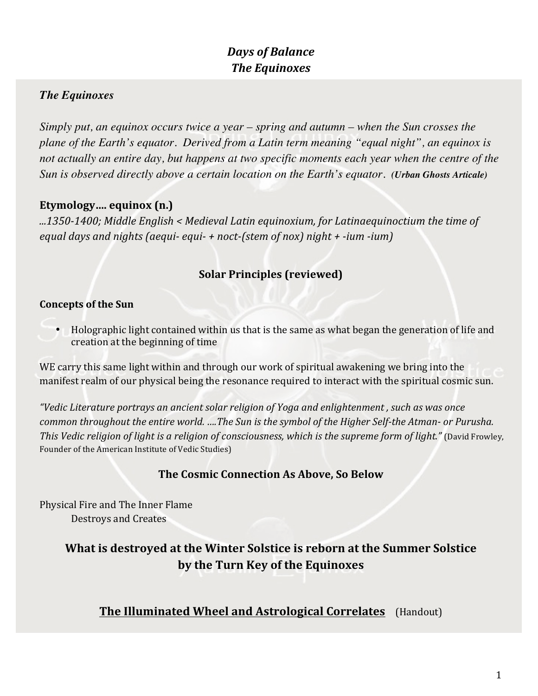# *Days of Balance The Equinoxes*

# *The Equinoxes*

*Simply put, an equinox occurs twice a year – spring and autumn – when the Sun crosses the plane of the Earth's equator. Derived from a Latin term meaning "equal night", an equinox is*  not actually an entire day, but happens at two specific moments each year when the centre of the *Sun is observed directly above a certain location on the Earth's equator. (Urban Ghosts Articale)*

## Etymology.... equinox (n.)

*...1350-1400; Middle English < Medieval Latin equinoxium, for Latinaequinoctium the time of equal days and nights (aequi- equi- + noct-(stem of nox) night + -ium -ium)*

# **Solar Principles (reviewed)**

#### **Concepts of the Sun**

• Holographic light contained within us that is the same as what began the generation of life and creation at the beginning of time

WE carry this same light within and through our work of spiritual awakening we bring into the manifest realm of our physical being the resonance required to interact with the spiritual cosmic sun.

*"Vedic Literature portrays an ancient solar religion of Yoga and enlightenment , such as was once common throughout the entire world.* ....The Sun is the symbol of the Higher Self-the Atman- or Purusha. *This Vedic religion of light is a religion of consciousness, which is the supreme form of light."* (David Frowley, Founder of the American Institute of Vedic Studies)

### **The Cosmic Connection As Above, So Below**

Physical Fire and The Inner Flame Destroys and Creates

# **What is destroyed at the Winter Solstice is reborn at the Summer Solstice by the Turn Key of the Equinoxes**

# **The Illuminated Wheel and Astrological Correlates** (Handout)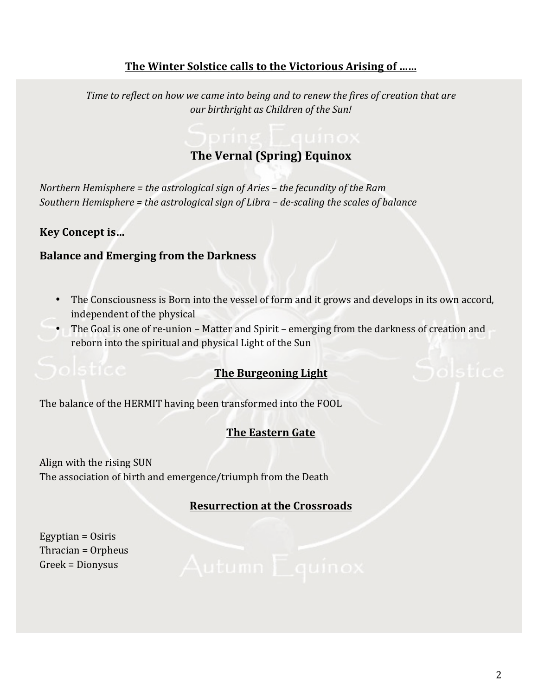# The Winter Solstice calls to the Victorious Arising of ......

*Time to reflect on how we came into being and to renew the fires of creation that are our birthright as Children of the Sun!*

# **The Vernal (Spring) Equinox**

*Northern Hemisphere* = *the astrological sign of Aries* – *the fecundity of the Ram Southern Hemisphere* = *the astrological sign of Libra* – *de-scaling the scales of balance* 

### **Key Concept is...**

#### **Balance and Emerging from the Darkness**

- The Consciousness is Born into the vessel of form and it grows and develops in its own accord, independent of the physical
- The Goal is one of re-union Matter and Spirit emerging from the darkness of creation and reborn into the spiritual and physical Light of the Sun

### **The Burgeoning Light**

The balance of the HERMIT having been transformed into the FOOL

### **The Eastern Gate**

Align with the rising SUN The association of birth and emergence/triumph from the Death

### **Resurrection** at the Crossroads

Egyptian  $=$  Osiris Thracian  $=$  Orpheus Greek = Dionysus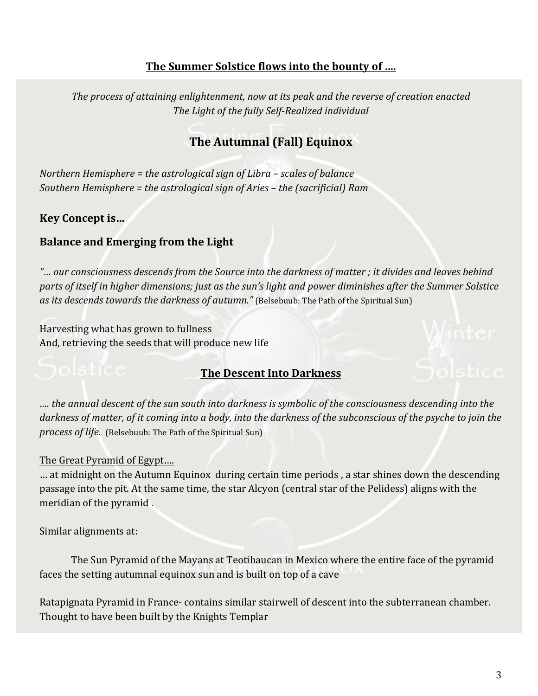## **The Summer Solstice flows into the bounty of ....**

The process of attaining enlightenment, now at its peak and the reverse of creation enacted The Light of the fully Self-Realized individual

# **The Autumnal (Fall) Equinox**

*Northern Hemisphere* = *the astrological sign of Libra* – *scales of balance Southern Hemisphere* = the astrological sign of Aries – the (sacrificial) Ram

### Key Concept is...

#### **Balance and Emerging from the Light**

"... our consciousness descends from the Source into the darkness of matter ; it divides and leaves behind parts of itself in higher dimensions; just as the sun's light and power diminishes after the Summer Solstice *as its descends towards the darkness of autumn."* (Belsebuub: The Path of the Spiritual Sun)

Harvesting what has grown to fullness And, retrieving the seeds that will produce new life

### **The Descent Into Darkness**

*…. the annual descent of the sun south into darkness is symbolic of the consciousness descending into the*  darkness of matter, of it coming into a body, into the darkness of the subconscious of the psyche to join the *process of life.* (Belsebuub: The Path of the Spiritual Sun)

#### The Great Pyramid of Egypt....

... at midnight on the Autumn Equinox during certain time periods, a star shines down the descending passage into the pit. At the same time, the star Alcyon (central star of the Pelidess) aligns with the meridian of the pyramid.

Similar alignments at:

The Sun Pyramid of the Mayans at Teotihaucan in Mexico where the entire face of the pyramid faces the setting autumnal equinox sun and is built on top of a cave

Ratapignata Pyramid in France- contains similar stairwell of descent into the subterranean chamber. Thought to have been built by the Knights Templar